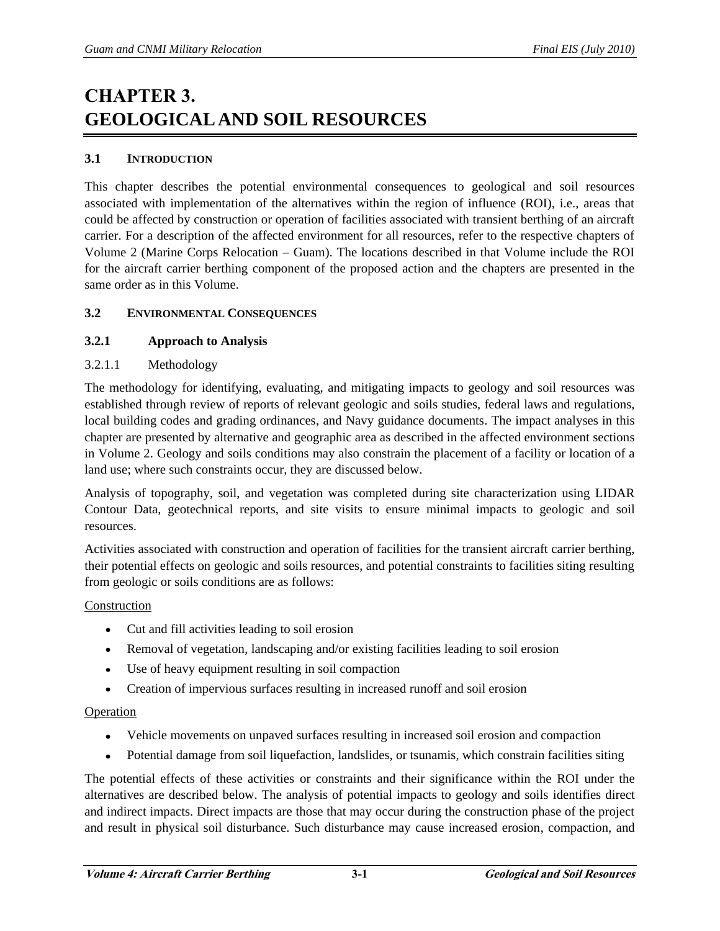# **CHAPTER 3. GEOLOGICAL AND SOIL RESOURCES**

## **3.1 INTRODUCTION**

This chapter describes the potential environmental consequences to geological and soil resources associated with implementation of the alternatives within the region of influence (ROI), i.e., areas that could be affected by construction or operation of facilities associated with transient berthing of an aircraft carrier. For a description of the affected environment for all resources, refer to the respective chapters of Volume 2 (Marine Corps Relocation – Guam). The locations described in that Volume include the ROI for the aircraft carrier berthing component of the proposed action and the chapters are presented in the same order as in this Volume.

## **3.2 ENVIRONMENTAL CONSEQUENCES**

## **3.2.1 Approach to Analysis**

## 3.2.1.1 Methodology

The methodology for identifying, evaluating, and mitigating impacts to geology and soil resources was established through review of reports of relevant geologic and soils studies, federal laws and regulations, local building codes and grading ordinances, and Navy guidance documents. The impact analyses in this chapter are presented by alternative and geographic area as described in the affected environment sections in Volume 2. Geology and soils conditions may also constrain the placement of a facility or location of a land use; where such constraints occur, they are discussed below.

Analysis of topography, soil, and vegetation was completed during site characterization using LIDAR Contour Data, geotechnical reports, and site visits to ensure minimal impacts to geologic and soil resources.

Activities associated with construction and operation of facilities for the transient aircraft carrier berthing, their potential effects on geologic and soils resources, and potential constraints to facilities siting resulting from geologic or soils conditions are as follows:

## Construction

- Cut and fill activities leading to soil erosion
- Removal of vegetation, landscaping and/or existing facilities leading to soil erosion
- $\bullet$ Use of heavy equipment resulting in soil compaction
- Creation of impervious surfaces resulting in increased runoff and soil erosion

## Operation

- Vehicle movements on unpaved surfaces resulting in increased soil erosion and compaction
- $\bullet$ Potential damage from soil liquefaction, landslides, or tsunamis, which constrain facilities siting

The potential effects of these activities or constraints and their significance within the ROI under the alternatives are described below. The analysis of potential impacts to geology and soils identifies direct and indirect impacts. Direct impacts are those that may occur during the construction phase of the project and result in physical soil disturbance. Such disturbance may cause increased erosion, compaction, and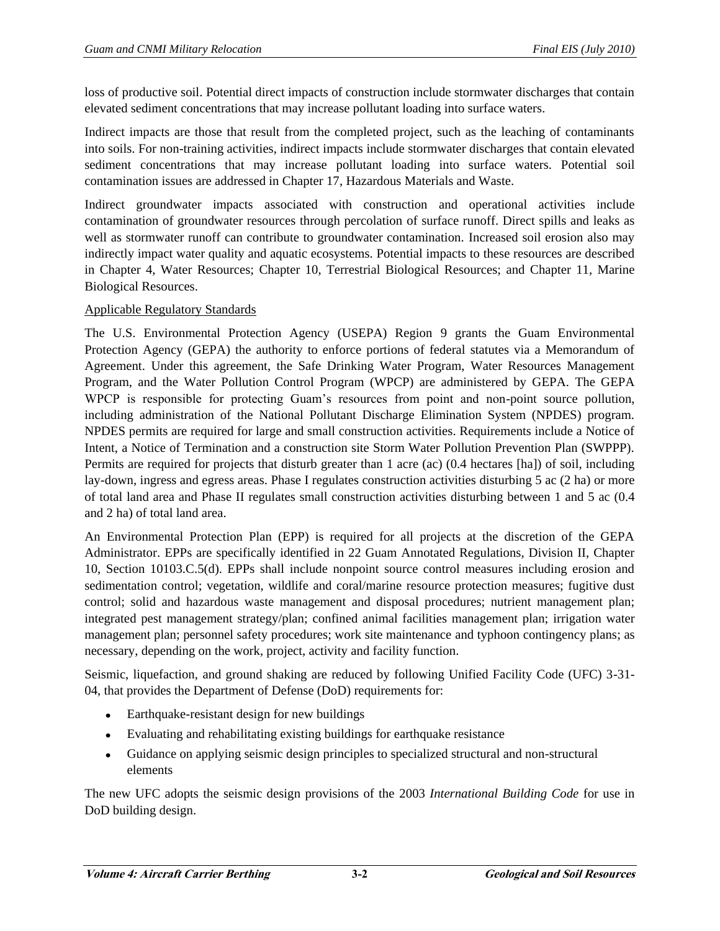loss of productive soil. Potential direct impacts of construction include stormwater discharges that contain elevated sediment concentrations that may increase pollutant loading into surface waters.

Indirect impacts are those that result from the completed project, such as the leaching of contaminants into soils. For non-training activities, indirect impacts include stormwater discharges that contain elevated sediment concentrations that may increase pollutant loading into surface waters. Potential soil contamination issues are addressed in Chapter 17, Hazardous Materials and Waste.

Indirect groundwater impacts associated with construction and operational activities include contamination of groundwater resources through percolation of surface runoff. Direct spills and leaks as well as stormwater runoff can contribute to groundwater contamination. Increased soil erosion also may indirectly impact water quality and aquatic ecosystems. Potential impacts to these resources are described in Chapter 4, Water Resources; Chapter 10, Terrestrial Biological Resources; and Chapter 11, Marine Biological Resources.

## Applicable Regulatory Standards

The U.S. Environmental Protection Agency (USEPA) Region 9 grants the Guam Environmental Protection Agency (GEPA) the authority to enforce portions of federal statutes via a Memorandum of Agreement. Under this agreement, the Safe Drinking Water Program, Water Resources Management Program, and the Water Pollution Control Program (WPCP) are administered by GEPA. The GEPA WPCP is responsible for protecting Guam's resources from point and non-point source pollution, including administration of the National Pollutant Discharge Elimination System (NPDES) program. NPDES permits are required for large and small construction activities. Requirements include a Notice of Intent, a Notice of Termination and a construction site Storm Water Pollution Prevention Plan (SWPPP). Permits are required for projects that disturb greater than 1 acre (ac) (0.4 hectares [ha]) of soil, including lay-down, ingress and egress areas. Phase I regulates construction activities disturbing 5 ac (2 ha) or more of total land area and Phase II regulates small construction activities disturbing between 1 and 5 ac (0.4 and 2 ha) of total land area.

An Environmental Protection Plan (EPP) is required for all projects at the discretion of the GEPA Administrator. EPPs are specifically identified in 22 Guam Annotated Regulations, Division II, Chapter 10, Section 10103.C.5(d). EPPs shall include nonpoint source control measures including erosion and sedimentation control; vegetation, wildlife and coral/marine resource protection measures; fugitive dust control; solid and hazardous waste management and disposal procedures; nutrient management plan; integrated pest management strategy/plan; confined animal facilities management plan; irrigation water management plan; personnel safety procedures; work site maintenance and typhoon contingency plans; as necessary, depending on the work, project, activity and facility function.

Seismic, liquefaction, and ground shaking are reduced by following Unified Facility Code (UFC) 3-31- 04, that provides the Department of Defense (DoD) requirements for:

- $\bullet$ Earthquake-resistant design for new buildings
- Evaluating and rehabilitating existing buildings for earthquake resistance
- Guidance on applying seismic design principles to specialized structural and non-structural elements

The new UFC adopts the seismic design provisions of the 2003 *International Building Code* for use in DoD building design.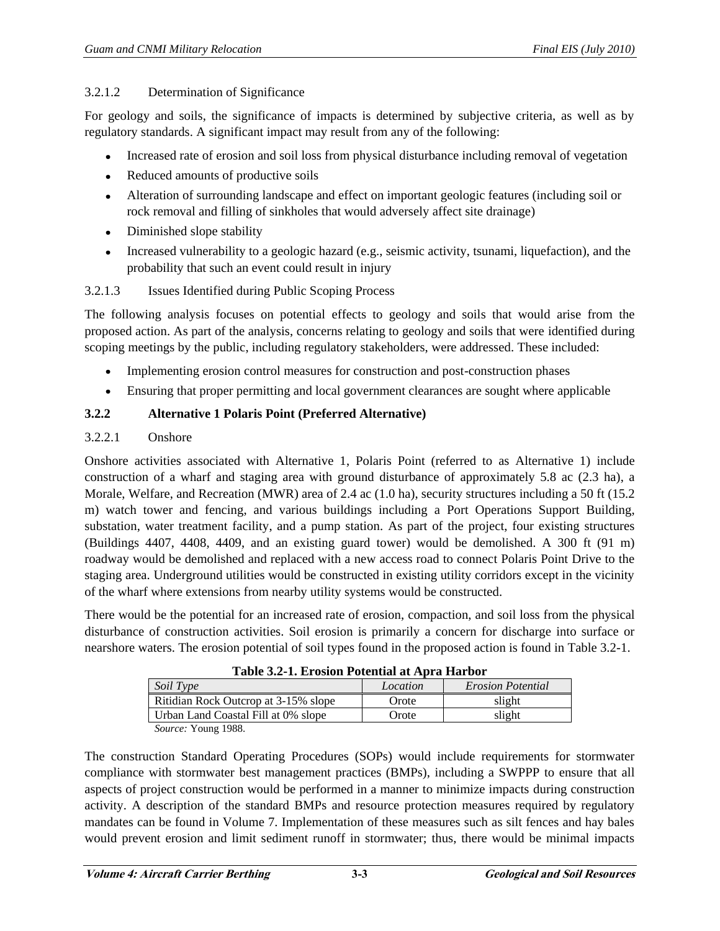## 3.2.1.2 Determination of Significance

For geology and soils, the significance of impacts is determined by subjective criteria, as well as by regulatory standards. A significant impact may result from any of the following:

- Increased rate of erosion and soil loss from physical disturbance including removal of vegetation  $\bullet$
- Reduced amounts of productive soils
- Alteration of surrounding landscape and effect on important geologic features (including soil or rock removal and filling of sinkholes that would adversely affect site drainage)
- Diminished slope stability
- Increased vulnerability to a geologic hazard (e.g., seismic activity, tsunami, liquefaction), and the  $\bullet$ probability that such an event could result in injury

# 3.2.1.3 Issues Identified during Public Scoping Process

The following analysis focuses on potential effects to geology and soils that would arise from the proposed action. As part of the analysis, concerns relating to geology and soils that were identified during scoping meetings by the public, including regulatory stakeholders, were addressed. These included:

- Implementing erosion control measures for construction and post-construction phases  $\bullet$
- $\bullet$ Ensuring that proper permitting and local government clearances are sought where applicable

# **3.2.2 Alternative 1 Polaris Point (Preferred Alternative)**

## 3.2.2.1 Onshore

Onshore activities associated with Alternative 1, Polaris Point (referred to as Alternative 1) include construction of a wharf and staging area with ground disturbance of approximately 5.8 ac (2.3 ha), a Morale, Welfare, and Recreation (MWR) area of 2.4 ac (1.0 ha), security structures including a 50 ft (15.2) m) watch tower and fencing, and various buildings including a Port Operations Support Building, substation, water treatment facility, and a pump station. As part of the project, four existing structures (Buildings 4407, 4408, 4409, and an existing guard tower) would be demolished. A 300 ft (91 m) roadway would be demolished and replaced with a new access road to connect Polaris Point Drive to the staging area. Underground utilities would be constructed in existing utility corridors except in the vicinity of the wharf where extensions from nearby utility systems would be constructed.

There would be the potential for an increased rate of erosion, compaction, and soil loss from the physical disturbance of construction activities. Soil erosion is primarily a concern for discharge into surface or nearshore waters. The erosion potential of soil types found in the proposed action is found in Table 3.2-1.

| Table 3.2-1. EFOSION FOUGHUAI AU APITA HAFDOI |          |                          |  |  |
|-----------------------------------------------|----------|--------------------------|--|--|
| Soil Type                                     | Location | <b>Erosion Potential</b> |  |  |
| Ritidian Rock Outcrop at 3-15% slope          | Orote    | slight                   |  |  |
| Urban Land Coastal Fill at 0% slope           | Orote    | slight                   |  |  |
| $C_1, \ldots, C_n, V_{n+1} = 1000$            |          |                          |  |  |

| Table 3.2-1. Erosion Potential at Apra Harbor |  |  |  |  |
|-----------------------------------------------|--|--|--|--|
|-----------------------------------------------|--|--|--|--|

*Source:* Young 1988.

The construction Standard Operating Procedures (SOPs) would include requirements for stormwater compliance with stormwater best management practices (BMPs), including a SWPPP to ensure that all aspects of project construction would be performed in a manner to minimize impacts during construction activity. A description of the standard BMPs and resource protection measures required by regulatory mandates can be found in Volume 7. Implementation of these measures such as silt fences and hay bales would prevent erosion and limit sediment runoff in stormwater; thus, there would be minimal impacts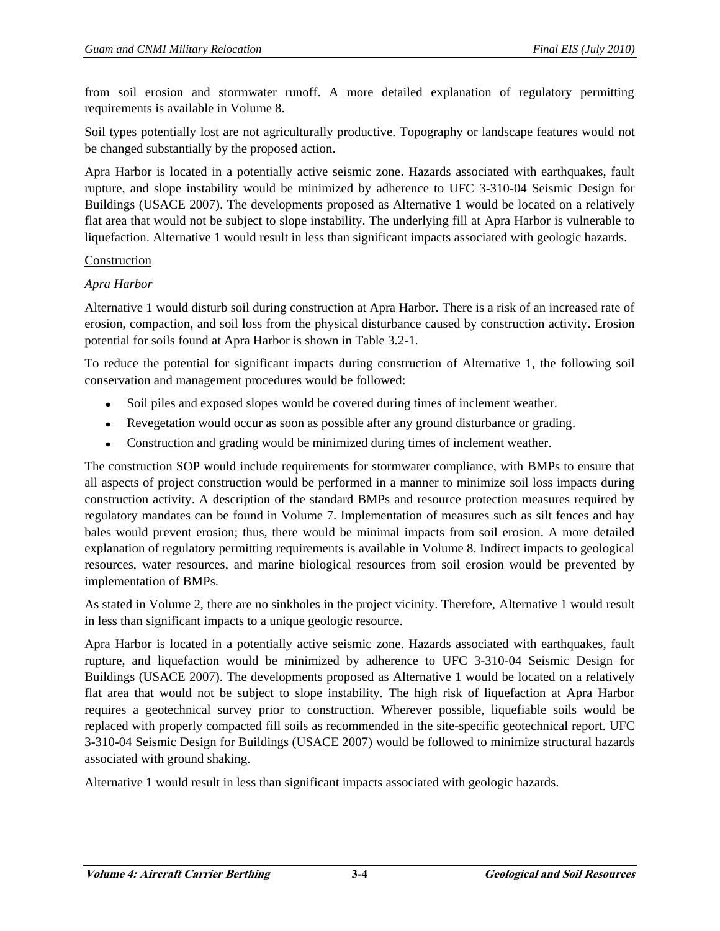from soil erosion and stormwater runoff. A more detailed explanation of regulatory permitting requirements is available in Volume 8.

Soil types potentially lost are not agriculturally productive. Topography or landscape features would not be changed substantially by the proposed action.

Apra Harbor is located in a potentially active seismic zone. Hazards associated with earthquakes, fault rupture, and slope instability would be minimized by adherence to UFC 3-310-04 Seismic Design for Buildings (USACE 2007). The developments proposed as Alternative 1 would be located on a relatively flat area that would not be subject to slope instability. The underlying fill at Apra Harbor is vulnerable to liquefaction. Alternative 1 would result in less than significant impacts associated with geologic hazards.

## Construction

## *Apra Harbor*

Alternative 1 would disturb soil during construction at Apra Harbor. There is a risk of an increased rate of erosion, compaction, and soil loss from the physical disturbance caused by construction activity. Erosion potential for soils found at Apra Harbor is shown in Table 3.2-1.

To reduce the potential for significant impacts during construction of Alternative 1, the following soil conservation and management procedures would be followed:

- Soil piles and exposed slopes would be covered during times of inclement weather.  $\bullet$
- Revegetation would occur as soon as possible after any ground disturbance or grading.
- Construction and grading would be minimized during times of inclement weather.  $\bullet$

The construction SOP would include requirements for stormwater compliance, with BMPs to ensure that all aspects of project construction would be performed in a manner to minimize soil loss impacts during construction activity. A description of the standard BMPs and resource protection measures required by regulatory mandates can be found in Volume 7. Implementation of measures such as silt fences and hay bales would prevent erosion; thus, there would be minimal impacts from soil erosion. A more detailed explanation of regulatory permitting requirements is available in Volume 8. Indirect impacts to geological resources, water resources, and marine biological resources from soil erosion would be prevented by implementation of BMPs.

As stated in Volume 2, there are no sinkholes in the project vicinity. Therefore, Alternative 1 would result in less than significant impacts to a unique geologic resource.

Apra Harbor is located in a potentially active seismic zone. Hazards associated with earthquakes, fault rupture, and liquefaction would be minimized by adherence to UFC 3-310-04 Seismic Design for Buildings (USACE 2007). The developments proposed as Alternative 1 would be located on a relatively flat area that would not be subject to slope instability. The high risk of liquefaction at Apra Harbor requires a geotechnical survey prior to construction. Wherever possible, liquefiable soils would be replaced with properly compacted fill soils as recommended in the site-specific geotechnical report. UFC 3-310-04 Seismic Design for Buildings (USACE 2007) would be followed to minimize structural hazards associated with ground shaking.

Alternative 1 would result in less than significant impacts associated with geologic hazards.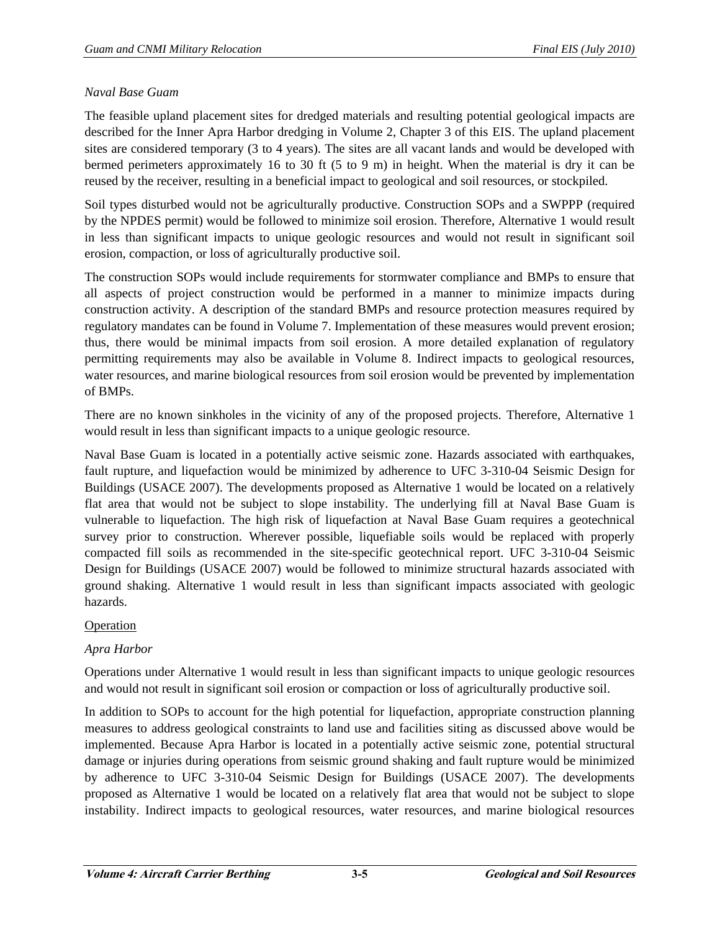## *Naval Base Guam*

The feasible upland placement sites for dredged materials and resulting potential geological impacts are described for the Inner Apra Harbor dredging in Volume 2, Chapter 3 of this EIS. The upland placement sites are considered temporary (3 to 4 years). The sites are all vacant lands and would be developed with bermed perimeters approximately 16 to 30 ft (5 to 9 m) in height. When the material is dry it can be reused by the receiver, resulting in a beneficial impact to geological and soil resources, or stockpiled.

Soil types disturbed would not be agriculturally productive. Construction SOPs and a SWPPP (required by the NPDES permit) would be followed to minimize soil erosion. Therefore, Alternative 1 would result in less than significant impacts to unique geologic resources and would not result in significant soil erosion, compaction, or loss of agriculturally productive soil.

The construction SOPs would include requirements for stormwater compliance and BMPs to ensure that all aspects of project construction would be performed in a manner to minimize impacts during construction activity. A description of the standard BMPs and resource protection measures required by regulatory mandates can be found in Volume 7. Implementation of these measures would prevent erosion; thus, there would be minimal impacts from soil erosion. A more detailed explanation of regulatory permitting requirements may also be available in Volume 8. Indirect impacts to geological resources, water resources, and marine biological resources from soil erosion would be prevented by implementation of BMPs.

There are no known sinkholes in the vicinity of any of the proposed projects. Therefore, Alternative 1 would result in less than significant impacts to a unique geologic resource.

Naval Base Guam is located in a potentially active seismic zone. Hazards associated with earthquakes, fault rupture, and liquefaction would be minimized by adherence to UFC 3-310-04 Seismic Design for Buildings (USACE 2007). The developments proposed as Alternative 1 would be located on a relatively flat area that would not be subject to slope instability. The underlying fill at Naval Base Guam is vulnerable to liquefaction. The high risk of liquefaction at Naval Base Guam requires a geotechnical survey prior to construction. Wherever possible, liquefiable soils would be replaced with properly compacted fill soils as recommended in the site-specific geotechnical report. UFC 3-310-04 Seismic Design for Buildings (USACE 2007) would be followed to minimize structural hazards associated with ground shaking. Alternative 1 would result in less than significant impacts associated with geologic hazards.

## Operation

# *Apra Harbor*

Operations under Alternative 1 would result in less than significant impacts to unique geologic resources and would not result in significant soil erosion or compaction or loss of agriculturally productive soil.

In addition to SOPs to account for the high potential for liquefaction, appropriate construction planning measures to address geological constraints to land use and facilities siting as discussed above would be implemented. Because Apra Harbor is located in a potentially active seismic zone, potential structural damage or injuries during operations from seismic ground shaking and fault rupture would be minimized by adherence to UFC 3-310-04 Seismic Design for Buildings (USACE 2007). The developments proposed as Alternative 1 would be located on a relatively flat area that would not be subject to slope instability. Indirect impacts to geological resources, water resources, and marine biological resources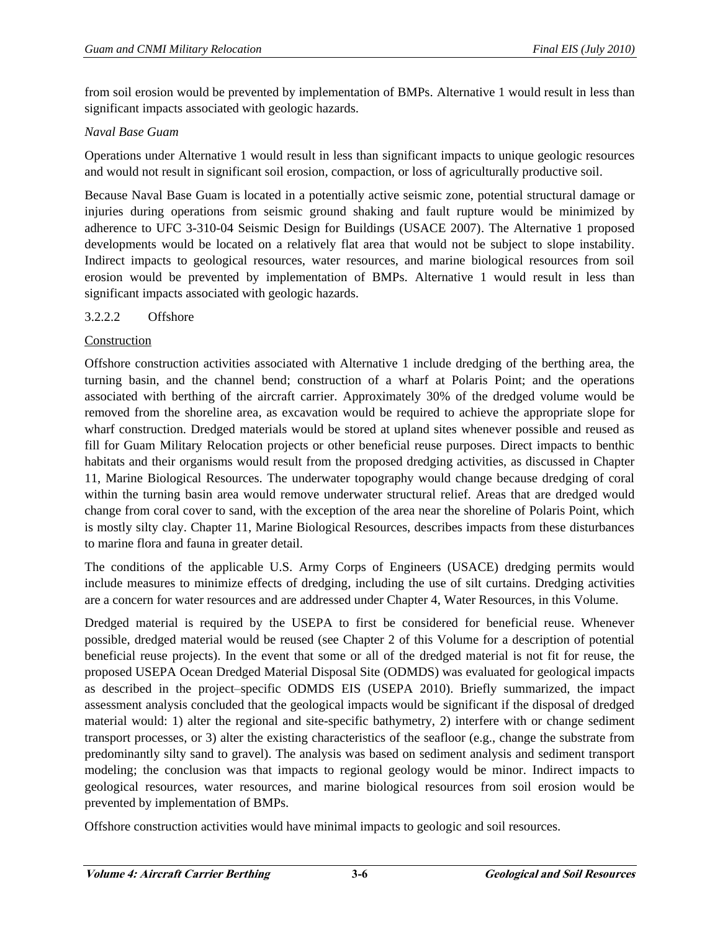from soil erosion would be prevented by implementation of BMPs. Alternative 1 would result in less than significant impacts associated with geologic hazards.

## *Naval Base Guam*

Operations under Alternative 1 would result in less than significant impacts to unique geologic resources and would not result in significant soil erosion, compaction, or loss of agriculturally productive soil.

Because Naval Base Guam is located in a potentially active seismic zone, potential structural damage or injuries during operations from seismic ground shaking and fault rupture would be minimized by adherence to UFC 3-310-04 Seismic Design for Buildings (USACE 2007). The Alternative 1 proposed developments would be located on a relatively flat area that would not be subject to slope instability. Indirect impacts to geological resources, water resources, and marine biological resources from soil erosion would be prevented by implementation of BMPs. Alternative 1 would result in less than significant impacts associated with geologic hazards.

## 3.2.2.2 Offshore

# Construction

Offshore construction activities associated with Alternative 1 include dredging of the berthing area, the turning basin, and the channel bend; construction of a wharf at Polaris Point; and the operations associated with berthing of the aircraft carrier. Approximately 30% of the dredged volume would be removed from the shoreline area, as excavation would be required to achieve the appropriate slope for wharf construction. Dredged materials would be stored at upland sites whenever possible and reused as fill for Guam Military Relocation projects or other beneficial reuse purposes. Direct impacts to benthic habitats and their organisms would result from the proposed dredging activities, as discussed in Chapter 11, Marine Biological Resources. The underwater topography would change because dredging of coral within the turning basin area would remove underwater structural relief. Areas that are dredged would change from coral cover to sand, with the exception of the area near the shoreline of Polaris Point, which is mostly silty clay. Chapter 11, Marine Biological Resources, describes impacts from these disturbances to marine flora and fauna in greater detail.

The conditions of the applicable U.S. Army Corps of Engineers (USACE) dredging permits would include measures to minimize effects of dredging, including the use of silt curtains. Dredging activities are a concern for water resources and are addressed under Chapter 4, Water Resources, in this Volume.

Dredged material is required by the USEPA to first be considered for beneficial reuse. Whenever possible, dredged material would be reused (see Chapter 2 of this Volume for a description of potential beneficial reuse projects). In the event that some or all of the dredged material is not fit for reuse, the proposed USEPA Ocean Dredged Material Disposal Site (ODMDS) was evaluated for geological impacts as described in the project–specific ODMDS EIS (USEPA 2010). Briefly summarized, the impact assessment analysis concluded that the geological impacts would be significant if the disposal of dredged material would: 1) alter the regional and site-specific bathymetry, 2) interfere with or change sediment transport processes, or 3) alter the existing characteristics of the seafloor (e.g., change the substrate from predominantly silty sand to gravel). The analysis was based on sediment analysis and sediment transport modeling; the conclusion was that impacts to regional geology would be minor. Indirect impacts to geological resources, water resources, and marine biological resources from soil erosion would be prevented by implementation of BMPs.

Offshore construction activities would have minimal impacts to geologic and soil resources.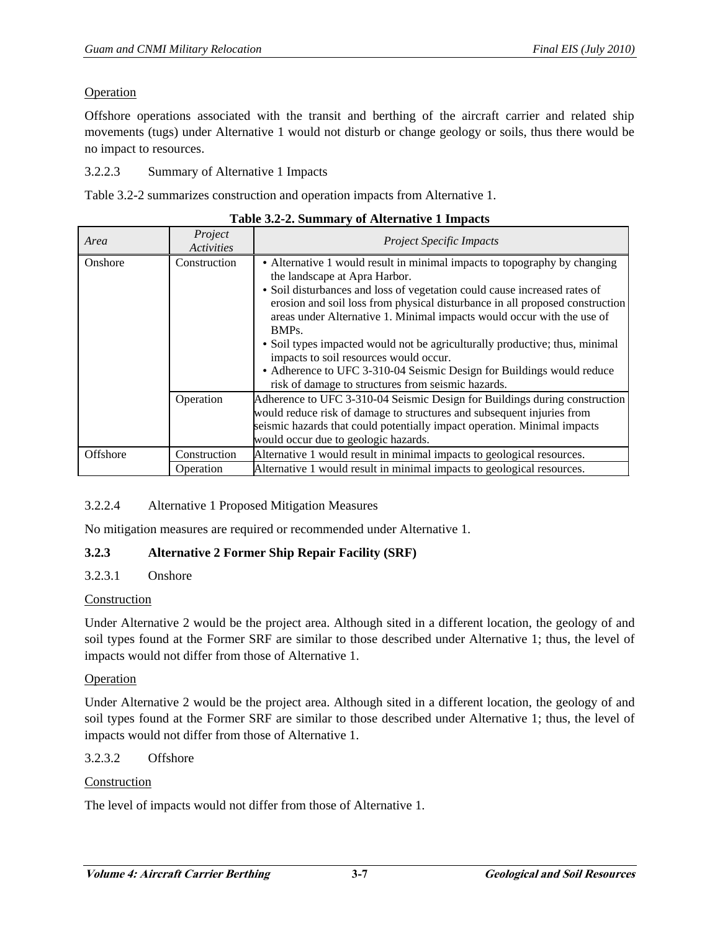## Operation

Offshore operations associated with the transit and berthing of the aircraft carrier and related ship movements (tugs) under Alternative 1 would not disturb or change geology or soils, thus there would be no impact to resources.

3.2.2.3 Summary of Alternative 1 Impacts

Table 3.2-2 summarizes construction and operation impacts from Alternative 1.

| Area     | Project<br><b>Activities</b> | <b>Project Specific Impacts</b>                                                                                                                                                                                                                                                                                                                                                                                                                                                                                                                                                                                                 |
|----------|------------------------------|---------------------------------------------------------------------------------------------------------------------------------------------------------------------------------------------------------------------------------------------------------------------------------------------------------------------------------------------------------------------------------------------------------------------------------------------------------------------------------------------------------------------------------------------------------------------------------------------------------------------------------|
| Onshore  | Construction                 | • Alternative 1 would result in minimal impacts to topography by changing<br>the landscape at Apra Harbor.<br>• Soil disturbances and loss of vegetation could cause increased rates of<br>erosion and soil loss from physical disturbance in all proposed construction<br>areas under Alternative 1. Minimal impacts would occur with the use of<br>BMP <sub>s</sub> .<br>• Soil types impacted would not be agriculturally productive; thus, minimal<br>impacts to soil resources would occur.<br>• Adherence to UFC 3-310-04 Seismic Design for Buildings would reduce<br>risk of damage to structures from seismic hazards. |
|          | Operation                    | Adherence to UFC 3-310-04 Seismic Design for Buildings during construction<br>would reduce risk of damage to structures and subsequent injuries from<br>seismic hazards that could potentially impact operation. Minimal impacts<br>would occur due to geologic hazards.                                                                                                                                                                                                                                                                                                                                                        |
| Offshore | Construction                 | Alternative 1 would result in minimal impacts to geological resources.                                                                                                                                                                                                                                                                                                                                                                                                                                                                                                                                                          |
|          | Operation                    | Alternative 1 would result in minimal impacts to geological resources.                                                                                                                                                                                                                                                                                                                                                                                                                                                                                                                                                          |

## 3.2.2.4 Alternative 1 Proposed Mitigation Measures

No mitigation measures are required or recommended under Alternative 1.

## **3.2.3 Alternative 2 Former Ship Repair Facility (SRF)**

# 3.2.3.1 Onshore

## Construction

Under Alternative 2 would be the project area. Although sited in a different location, the geology of and soil types found at the Former SRF are similar to those described under Alternative 1; thus, the level of impacts would not differ from those of Alternative 1.

## **Operation**

Under Alternative 2 would be the project area. Although sited in a different location, the geology of and soil types found at the Former SRF are similar to those described under Alternative 1; thus, the level of impacts would not differ from those of Alternative 1.

## 3.2.3.2 Offshore

# Construction

The level of impacts would not differ from those of Alternative 1.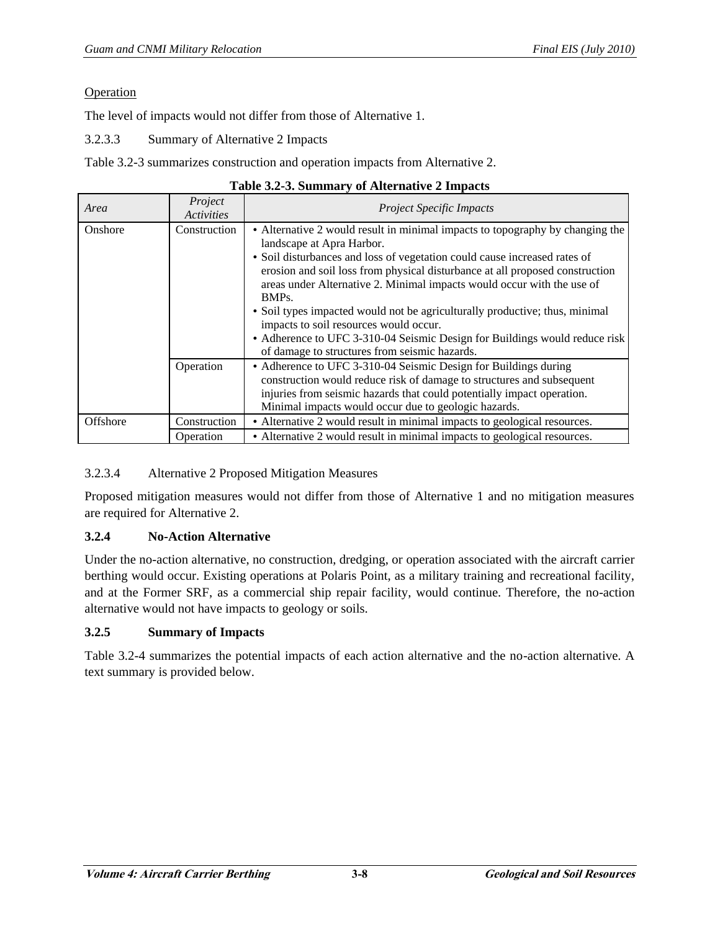## Operation

The level of impacts would not differ from those of Alternative 1.

3.2.3.3 Summary of Alternative 2 Impacts

Table 3.2-3 summarizes construction and operation impacts from Alternative 2.

| Area     | Project<br><b>Activities</b> | <b>Project Specific Impacts</b>                                                                                                                                                                                                                                                                                                                                                                                                                                                                                                                                                                                                 |  |
|----------|------------------------------|---------------------------------------------------------------------------------------------------------------------------------------------------------------------------------------------------------------------------------------------------------------------------------------------------------------------------------------------------------------------------------------------------------------------------------------------------------------------------------------------------------------------------------------------------------------------------------------------------------------------------------|--|
| Onshore  | Construction                 | • Alternative 2 would result in minimal impacts to topography by changing the<br>landscape at Apra Harbor.<br>• Soil disturbances and loss of vegetation could cause increased rates of<br>erosion and soil loss from physical disturbance at all proposed construction<br>areas under Alternative 2. Minimal impacts would occur with the use of<br>BMP <sub>s</sub> .<br>• Soil types impacted would not be agriculturally productive; thus, minimal<br>impacts to soil resources would occur.<br>• Adherence to UFC 3-310-04 Seismic Design for Buildings would reduce risk<br>of damage to structures from seismic hazards. |  |
|          | Operation                    | • Adherence to UFC 3-310-04 Seismic Design for Buildings during<br>construction would reduce risk of damage to structures and subsequent<br>injuries from seismic hazards that could potentially impact operation.<br>Minimal impacts would occur due to geologic hazards.                                                                                                                                                                                                                                                                                                                                                      |  |
| Offshore | Construction                 | • Alternative 2 would result in minimal impacts to geological resources.                                                                                                                                                                                                                                                                                                                                                                                                                                                                                                                                                        |  |
|          | Operation                    | • Alternative 2 would result in minimal impacts to geological resources.                                                                                                                                                                                                                                                                                                                                                                                                                                                                                                                                                        |  |

|  | Table 3.2-3. Summary of Alternative 2 Impacts |  |  |
|--|-----------------------------------------------|--|--|
|  |                                               |  |  |

## 3.2.3.4 Alternative 2 Proposed Mitigation Measures

Proposed mitigation measures would not differ from those of Alternative 1 and no mitigation measures are required for Alternative 2.

## **3.2.4 No-Action Alternative**

Under the no-action alternative, no construction, dredging, or operation associated with the aircraft carrier berthing would occur. Existing operations at Polaris Point, as a military training and recreational facility, and at the Former SRF, as a commercial ship repair facility, would continue. Therefore, the no-action alternative would not have impacts to geology or soils.

## **3.2.5 Summary of Impacts**

Table 3.2-4 summarizes the potential impacts of each action alternative and the no-action alternative. A text summary is provided below.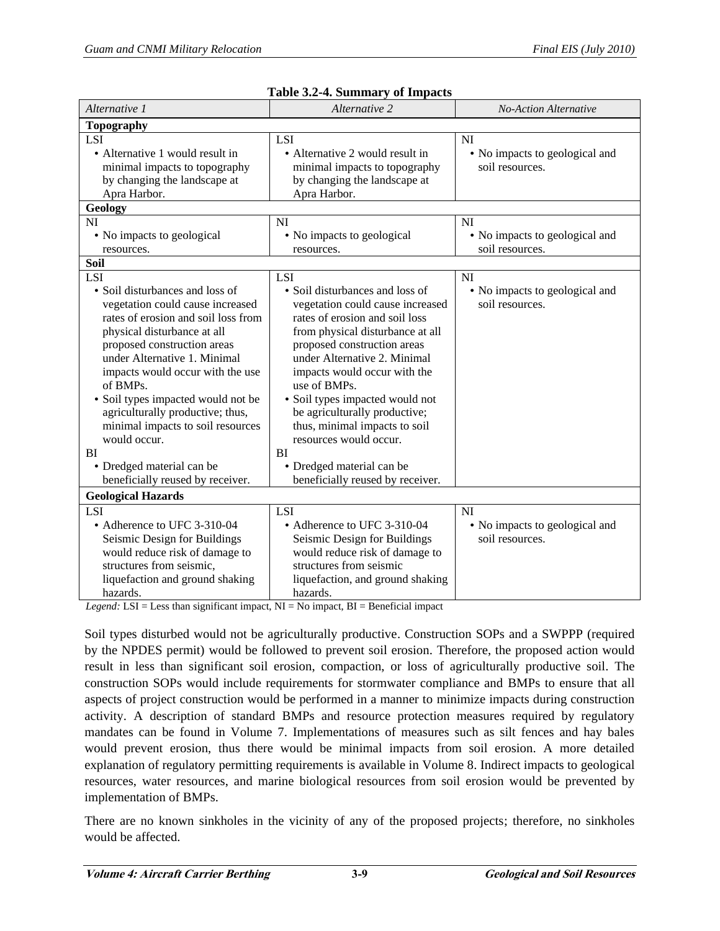| Alternative 1                                                                                                                                                                                                                                                                                                                                                                                                                                                                       | Alternative 2                                                                                                                                                                                                                                                                                                                                                                                                                                                                | No-Action Alternative                                                |  |  |
|-------------------------------------------------------------------------------------------------------------------------------------------------------------------------------------------------------------------------------------------------------------------------------------------------------------------------------------------------------------------------------------------------------------------------------------------------------------------------------------|------------------------------------------------------------------------------------------------------------------------------------------------------------------------------------------------------------------------------------------------------------------------------------------------------------------------------------------------------------------------------------------------------------------------------------------------------------------------------|----------------------------------------------------------------------|--|--|
| <b>Topography</b>                                                                                                                                                                                                                                                                                                                                                                                                                                                                   |                                                                                                                                                                                                                                                                                                                                                                                                                                                                              |                                                                      |  |  |
| <b>LSI</b><br>• Alternative 1 would result in<br>minimal impacts to topography<br>by changing the landscape at<br>Apra Harbor.<br>Geology<br><b>NI</b>                                                                                                                                                                                                                                                                                                                              | LSI<br>• Alternative 2 would result in<br>minimal impacts to topography<br>by changing the landscape at<br>Apra Harbor.<br><b>NI</b>                                                                                                                                                                                                                                                                                                                                         | NI<br>• No impacts to geological and<br>soil resources.<br><b>NI</b> |  |  |
| • No impacts to geological<br>resources.<br>Soil                                                                                                                                                                                                                                                                                                                                                                                                                                    | • No impacts to geological<br>resources.                                                                                                                                                                                                                                                                                                                                                                                                                                     | • No impacts to geological and<br>soil resources.                    |  |  |
| <b>LSI</b><br>• Soil disturbances and loss of<br>vegetation could cause increased<br>rates of erosion and soil loss from<br>physical disturbance at all<br>proposed construction areas<br>under Alternative 1. Minimal<br>impacts would occur with the use<br>of BMPs.<br>• Soil types impacted would not be<br>agriculturally productive; thus,<br>minimal impacts to soil resources<br>would occur.<br><b>BI</b><br>• Dredged material can be<br>beneficially reused by receiver. | LSI<br>• Soil disturbances and loss of<br>vegetation could cause increased<br>rates of erosion and soil loss<br>from physical disturbance at all<br>proposed construction areas<br>under Alternative 2. Minimal<br>impacts would occur with the<br>use of BMPs.<br>• Soil types impacted would not<br>be agriculturally productive;<br>thus, minimal impacts to soil<br>resources would occur.<br><b>BI</b><br>• Dredged material can be<br>beneficially reused by receiver. | <b>NI</b><br>• No impacts to geological and<br>soil resources.       |  |  |
| <b>Geological Hazards</b><br>LSI<br>• Adherence to UFC 3-310-04<br>Seismic Design for Buildings<br>would reduce risk of damage to<br>structures from seismic,<br>liquefaction and ground shaking<br>hazards.                                                                                                                                                                                                                                                                        | LSI<br>• Adherence to UFC 3-310-04<br>Seismic Design for Buildings<br>would reduce risk of damage to<br>structures from seismic<br>liquefaction, and ground shaking<br>hazards.                                                                                                                                                                                                                                                                                              | NI<br>• No impacts to geological and<br>soil resources.              |  |  |

| Table 3.2-4. Summary of Impacts |  |  |  |  |
|---------------------------------|--|--|--|--|
|---------------------------------|--|--|--|--|

*Legend:*  $LSI = Less than significant impact, NI = No impact, BI = Benedict impact$ 

Soil types disturbed would not be agriculturally productive. Construction SOPs and a SWPPP (required by the NPDES permit) would be followed to prevent soil erosion. Therefore, the proposed action would result in less than significant soil erosion, compaction, or loss of agriculturally productive soil. The construction SOPs would include requirements for stormwater compliance and BMPs to ensure that all aspects of project construction would be performed in a manner to minimize impacts during construction activity. A description of standard BMPs and resource protection measures required by regulatory mandates can be found in Volume 7. Implementations of measures such as silt fences and hay bales would prevent erosion, thus there would be minimal impacts from soil erosion. A more detailed explanation of regulatory permitting requirements is available in Volume 8. Indirect impacts to geological resources, water resources, and marine biological resources from soil erosion would be prevented by implementation of BMPs.

There are no known sinkholes in the vicinity of any of the proposed projects; therefore, no sinkholes would be affected.